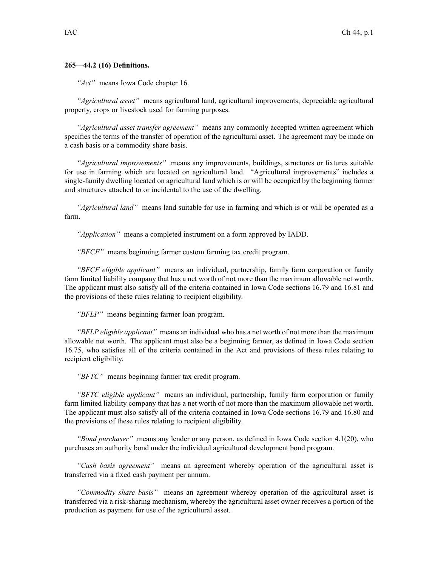## **265—44.2 (16) Definitions.**

*"Act"* means Iowa Code chapter [16](https://www.legis.iowa.gov/docs/ico/chapter/16.pdf).

*"Agricultural asset"* means agricultural land, agricultural improvements, depreciable agricultural property, crops or livestock used for farming purposes.

*"Agricultural asset transfer agreement"* means any commonly accepted written agreemen<sup>t</sup> which specifies the terms of the transfer of operation of the agricultural asset. The agreemen<sup>t</sup> may be made on <sup>a</sup> cash basis or <sup>a</sup> commodity share basis.

*"Agricultural improvements"* means any improvements, buildings, structures or fixtures suitable for use in farming which are located on agricultural land. "Agricultural improvements" includes <sup>a</sup> single-family dwelling located on agricultural land which is or will be occupied by the beginning farmer and structures attached to or incidental to the use of the dwelling.

*"Agricultural land"* means land suitable for use in farming and which is or will be operated as <sup>a</sup> farm.

*"Application"* means <sup>a</sup> completed instrument on <sup>a</sup> form approved by IADD.

*"BFCF"* means beginning farmer custom farming tax credit program.

*"BFCF eligible applicant"* means an individual, partnership, family farm corporation or family farm limited liability company that has <sup>a</sup> net worth of not more than the maximum allowable net worth. The applicant must also satisfy all of the criteria contained in Iowa Code sections [16.79](https://www.legis.iowa.gov/docs/ico/section/16.79.pdf) and [16.81](https://www.legis.iowa.gov/docs/ico/section/16.81.pdf) and the provisions of these rules relating to recipient eligibility.

*"BFLP"* means beginning farmer loan program.

*"BFLP eligible applicant"* means an individual who has <sup>a</sup> net worth of not more than the maximum allowable net worth. The applicant must also be <sup>a</sup> beginning farmer, as defined in Iowa Code section [16.75](https://www.legis.iowa.gov/docs/ico/section/16.75.pdf), who satisfies all of the criteria contained in the Act and provisions of these rules relating to recipient eligibility.

*"BFTC"* means beginning farmer tax credit program.

*"BFTC eligible applicant"* means an individual, partnership, family farm corporation or family farm limited liability company that has <sup>a</sup> net worth of not more than the maximum allowable net worth. The applicant must also satisfy all of the criteria contained in Iowa Code sections [16.79](https://www.legis.iowa.gov/docs/ico/section/16.79.pdf) and [16.80](https://www.legis.iowa.gov/docs/ico/section/16.80.pdf) and the provisions of these rules relating to recipient eligibility.

*"Bond purchaser"* means any lender or any person, as defined in Iowa Code section [4.1\(20\)](https://www.legis.iowa.gov/docs/ico/section/4.1.pdf), who purchases an authority bond under the individual agricultural development bond program.

*"Cash basis agreement"* means an agreemen<sup>t</sup> whereby operation of the agricultural asset is transferred via <sup>a</sup> fixed cash paymen<sup>t</sup> per annum.

*"Commodity share basis"* means an agreemen<sup>t</sup> whereby operation of the agricultural asset is transferred via <sup>a</sup> risk-sharing mechanism, whereby the agricultural asset owner receives <sup>a</sup> portion of the production as paymen<sup>t</sup> for use of the agricultural asset.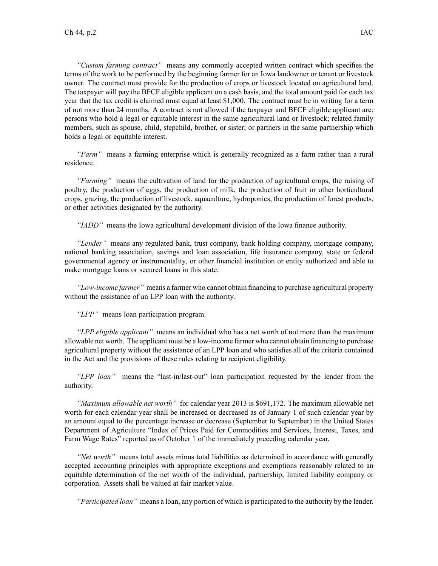*"Custom farming contract"* means any commonly accepted written contract which specifies the terms of the work to be performed by the beginning farmer for an Iowa landowner or tenant or livestock owner. The contract must provide for the production of crops or livestock located on agricultural land. The taxpayer will pay the BFCF eligible applicant on <sup>a</sup> cash basis, and the total amount paid for each tax year that the tax credit is claimed must equal at least \$1,000. The contract must be in writing for <sup>a</sup> term of not more than 24 months. A contract is not allowed if the taxpayer and BFCF eligible applicant are: persons who hold <sup>a</sup> legal or equitable interest in the same agricultural land or livestock; related family members, such as spouse, child, stepchild, brother, or sister; or partners in the same partnership which holds <sup>a</sup> legal or equitable interest.

*"Farm"* means <sup>a</sup> farming enterprise which is generally recognized as <sup>a</sup> farm rather than <sup>a</sup> rural residence.

*"Farming"* means the cultivation of land for the production of agricultural crops, the raising of poultry, the production of eggs, the production of milk, the production of fruit or other horticultural crops, grazing, the production of livestock, aquaculture, hydroponics, the production of forest products, or other activities designated by the authority.

*"IADD"* means the Iowa agricultural development division of the Iowa finance authority.

*"Lender"* means any regulated bank, trust company, bank holding company, mortgage company, national banking association, savings and loan association, life insurance company, state or federal governmental agency or instrumentality, or other financial institution or entity authorized and able to make mortgage loans or secured loans in this state.

*"Low-income farmer"* means <sup>a</sup> farmer who cannot obtain financing to purchase agricultural property without the assistance of an LPP loan with the authority.

*"LPP"* means loan participation program.

*"LPP eligible applicant"* means an individual who has <sup>a</sup> net worth of not more than the maximum allowable net worth. The applicant must be <sup>a</sup> low-income farmer who cannot obtain financing to purchase agricultural property without the assistance of an LPP loan and who satisfies all of the criteria contained in the Act and the provisions of these rules relating to recipient eligibility.

*"LPP loan"* means the "last-in/last-out" loan participation requested by the lender from the authority.

*"Maximum allowable net worth"* for calendar year 2013 is \$691,172. The maximum allowable net worth for each calendar year shall be increased or decreased as of January 1 of such calendar year by an amount equal to the percentage increase or decrease (September to September) in the United States Department of Agriculture "Index of Prices Paid for Commodities and Services, Interest, Taxes, and Farm Wage Rates" reported as of October 1 of the immediately preceding calendar year.

*"Net worth"* means total assets minus total liabilities as determined in accordance with generally accepted accounting principles with appropriate exceptions and exemptions reasonably related to an equitable determination of the net worth of the individual, partnership, limited liability company or corporation. Assets shall be valued at fair market value.

*"Participated loan"* means <sup>a</sup> loan, any portion of which is participated to the authority by the lender.